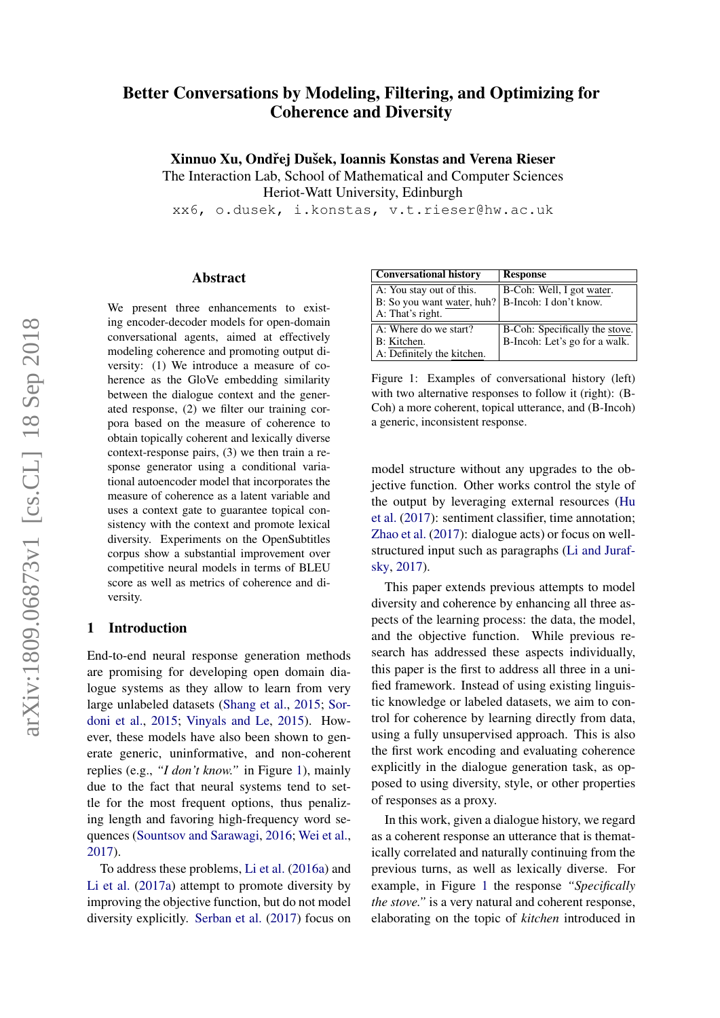# Better Conversations by Modeling, Filtering, and Optimizing for Coherence and Diversity

Xinnuo Xu, Ondřej Dušek, Ioannis Konstas and Verena Rieser

The Interaction Lab, School of Mathematical and Computer Sciences

Heriot-Watt University, Edinburgh

xx6, o.dusek, i.konstas, v.t.rieser@hw.ac.uk

#### Abstract

We present three enhancements to existing encoder-decoder models for open-domain conversational agents, aimed at effectively modeling coherence and promoting output diversity: (1) We introduce a measure of coherence as the GloVe embedding similarity between the dialogue context and the generated response, (2) we filter our training corpora based on the measure of coherence to obtain topically coherent and lexically diverse context-response pairs, (3) we then train a response generator using a conditional variational autoencoder model that incorporates the measure of coherence as a latent variable and uses a context gate to guarantee topical consistency with the context and promote lexical diversity. Experiments on the OpenSubtitles corpus show a substantial improvement over competitive neural models in terms of BLEU score as well as metrics of coherence and diversity.

## 1 Introduction

End-to-end neural response generation methods are promising for developing open domain dialogue systems as they allow to learn from very large unlabeled datasets [\(Shang et al.,](#page-9-0) [2015;](#page-9-0) [Sor](#page-9-1)[doni et al.,](#page-9-1) [2015;](#page-9-1) [Vinyals and Le,](#page-9-2) [2015\)](#page-9-2). However, these models have also been shown to generate generic, uninformative, and non-coherent replies (e.g., *"I don't know."* in Figure [1\)](#page-0-0), mainly due to the fact that neural systems tend to settle for the most frequent options, thus penalizing length and favoring high-frequency word sequences [\(Sountsov and Sarawagi,](#page-9-3) [2016;](#page-9-3) [Wei et al.,](#page-9-4) [2017\)](#page-9-4).

To address these problems, [Li et al.](#page-8-0) [\(2016a\)](#page-8-0) and [Li et al.](#page-9-5) [\(2017a\)](#page-9-5) attempt to promote diversity by improving the objective function, but do not model diversity explicitly. [Serban et al.](#page-9-6) [\(2017\)](#page-9-6) focus on

| <b>Conversational history</b>                       | <b>Response</b>                |
|-----------------------------------------------------|--------------------------------|
| A: You stay out of this.                            | B-Coh: Well, I got water.      |
| B: So you want water, huh?   B-Incoh: I don't know. |                                |
| A: That's right.                                    |                                |
| A: Where do we start?                               | B-Coh: Specifically the stove. |
| B: Kitchen.                                         | B-Incoh: Let's go for a walk.  |
| A: Definitely the kitchen.                          |                                |

<span id="page-0-0"></span>Figure 1: Examples of conversational history (left) with two alternative responses to follow it (right): (B-Coh) a more coherent, topical utterance, and (B-Incoh) a generic, inconsistent response.

model structure without any upgrades to the objective function. Other works control the style of the output by leveraging external resources [\(Hu](#page-8-1) [et al.](#page-8-1) [\(2017\)](#page-8-1): sentiment classifier, time annotation; [Zhao et al.](#page-10-0) [\(2017\)](#page-10-0): dialogue acts) or focus on wellstructured input such as paragraphs [\(Li and Juraf](#page-9-7)[sky,](#page-9-7) [2017\)](#page-9-7).

This paper extends previous attempts to model diversity and coherence by enhancing all three aspects of the learning process: the data, the model, and the objective function. While previous research has addressed these aspects individually, this paper is the first to address all three in a unified framework. Instead of using existing linguistic knowledge or labeled datasets, we aim to control for coherence by learning directly from data, using a fully unsupervised approach. This is also the first work encoding and evaluating coherence explicitly in the dialogue generation task, as opposed to using diversity, style, or other properties of responses as a proxy.

In this work, given a dialogue history, we regard as a coherent response an utterance that is thematically correlated and naturally continuing from the previous turns, as well as lexically diverse. For example, in Figure [1](#page-0-0) the response *"Specifically the stove."* is a very natural and coherent response, elaborating on the topic of *kitchen* introduced in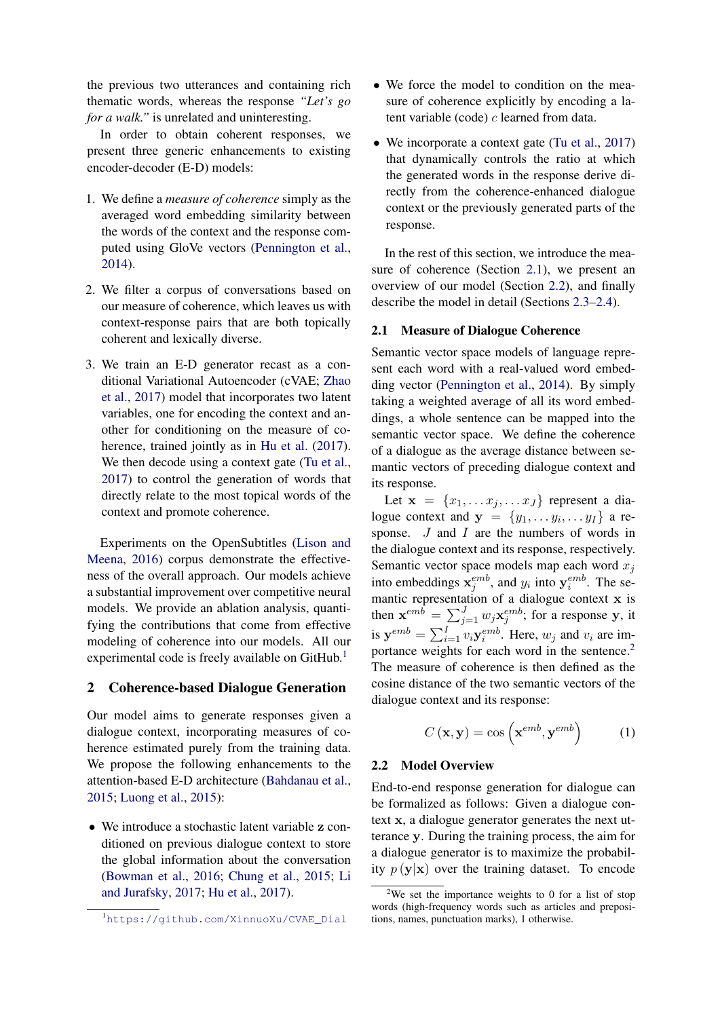the previous two utterances and containing rich thematic words, whereas the response *"Let's go for a walk."* is unrelated and uninteresting.

In order to obtain coherent responses, we present three generic enhancements to existing encoder-decoder (E-D) models:

- 1. We define a *measure of coherence* simply as the averaged word embedding similarity between the words of the context and the response computed using GloVe vectors [\(Pennington et al.,](#page-9-8) [2014\)](#page-9-8).
- 2. We filter a corpus of conversations based on our measure of coherence, which leaves us with context-response pairs that are both topically coherent and lexically diverse.
- 3. We train an E-D generator recast as a conditional Variational Autoencoder (cVAE; [Zhao](#page-10-0) [et al.,](#page-10-0) [2017\)](#page-10-0) model that incorporates two latent variables, one for encoding the context and another for conditioning on the measure of coherence, trained jointly as in [Hu et al.](#page-8-1) [\(2017\)](#page-8-1). We then decode using a context gate [\(Tu et al.,](#page-9-9) [2017\)](#page-9-9) to control the generation of words that directly relate to the most topical words of the context and promote coherence.

Experiments on the OpenSubtitles [\(Lison and](#page-9-10) [Meena,](#page-9-10) [2016\)](#page-9-10) corpus demonstrate the effectiveness of the overall approach. Our models achieve a substantial improvement over competitive neural models. We provide an ablation analysis, quantifying the contributions that come from effective modeling of coherence into our models. All our experimental code is freely available on GitHub.<sup>[1](#page-1-0)</sup>

## 2 Coherence-based Dialogue Generation

Our model aims to generate responses given a dialogue context, incorporating measures of coherence estimated purely from the training data. We propose the following enhancements to the attention-based E-D architecture [\(Bahdanau et al.,](#page-8-2) [2015;](#page-8-2) [Luong et al.,](#page-9-11) [2015\)](#page-9-11):

• We introduce a stochastic latent variable z conditioned on previous dialogue context to store the global information about the conversation [\(Bowman et al.,](#page-8-3) [2016;](#page-8-3) [Chung et al.,](#page-8-4) [2015;](#page-8-4) [Li](#page-9-7) [and Jurafsky,](#page-9-7) [2017;](#page-9-7) [Hu et al.,](#page-8-1) [2017\)](#page-8-1).

- We force the model to condition on the measure of coherence explicitly by encoding a latent variable (code) c learned from data.
- We incorporate a context gate [\(Tu et al.,](#page-9-9) [2017\)](#page-9-9) that dynamically controls the ratio at which the generated words in the response derive directly from the coherence-enhanced dialogue context or the previously generated parts of the response.

In the rest of this section, we introduce the measure of coherence (Section [2.1\)](#page-1-1), we present an overview of our model (Section [2.2\)](#page-1-2), and finally describe the model in detail (Sections [2.3–](#page-3-0)[2.4\)](#page-4-0).

#### <span id="page-1-1"></span>2.1 Measure of Dialogue Coherence

Semantic vector space models of language represent each word with a real-valued word embedding vector [\(Pennington et al.,](#page-9-8) [2014\)](#page-9-8). By simply taking a weighted average of all its word embeddings, a whole sentence can be mapped into the semantic vector space. We define the coherence of a dialogue as the average distance between semantic vectors of preceding dialogue context and its response.

Let  $\mathbf{x} = \{x_1, \dots x_j, \dots x_J\}$  represent a dialogue context and  $y = \{y_1, \ldots y_i, \ldots y_I\}$  a response. *J* and *I* are the numbers of words in the dialogue context and its response, respectively. Semantic vector space models map each word  $x_i$ into embeddings  $x_j^{emb}$ , and  $y_i$  into  $y_i^{emb}$ . The semantic representation of a dialogue context x is then  $\mathbf{x}^{emb} = \sum_{j=1}^{J} w_j \mathbf{x}_j^{emb}$ ; for a response y, it is  $y^{emb} = \sum_{i=1}^{I} v_i y_i^{emb}$ . Here,  $w_j$  and  $v_i$  are im-portance weights for each word in the sentence.<sup>[2](#page-1-3)</sup> The measure of coherence is then defined as the cosine distance of the two semantic vectors of the dialogue context and its response:

<span id="page-1-4"></span>
$$
C(\mathbf{x}, \mathbf{y}) = \cos\left(\mathbf{x}^{emb}, \mathbf{y}^{emb}\right) \tag{1}
$$

#### <span id="page-1-2"></span>2.2 Model Overview

End-to-end response generation for dialogue can be formalized as follows: Given a dialogue context x, a dialogue generator generates the next utterance y. During the training process, the aim for a dialogue generator is to maximize the probability  $p(\mathbf{y}|\mathbf{x})$  over the training dataset. To encode

<span id="page-1-0"></span><sup>1</sup>[https://github.com/XinnuoXu/CVAE\\_Dial](https://github.com/XinnuoXu/CVAE_Dial)

<span id="page-1-3"></span><sup>&</sup>lt;sup>2</sup>We set the importance weights to 0 for a list of stop words (high-frequency words such as articles and prepositions, names, punctuation marks), 1 otherwise.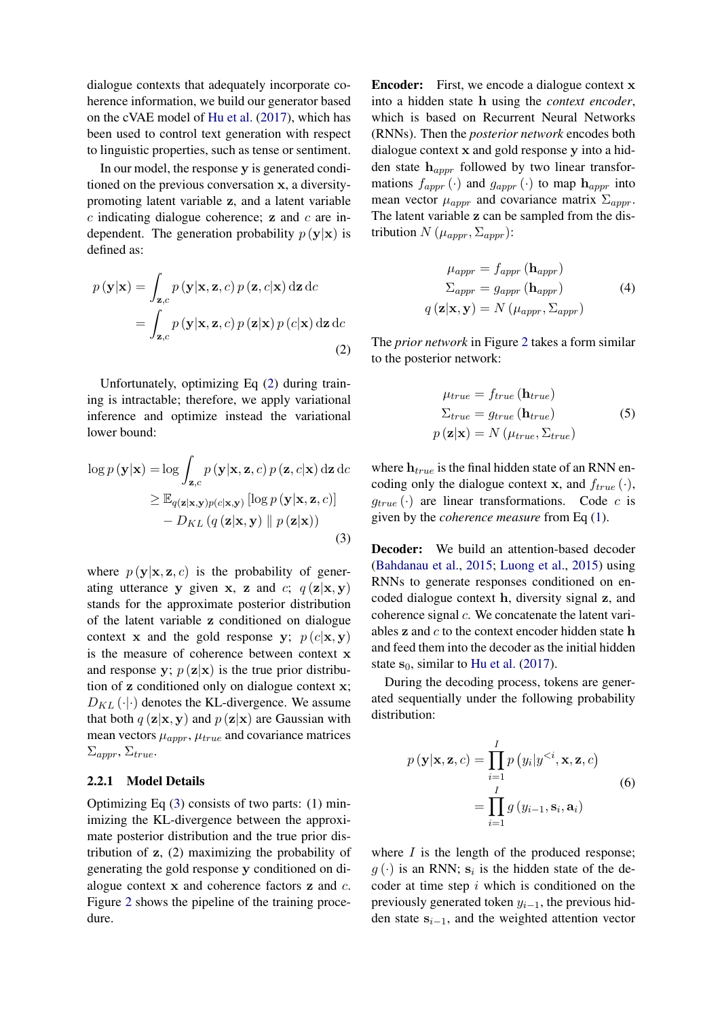dialogue contexts that adequately incorporate coherence information, we build our generator based on the cVAE model of [Hu et al.](#page-8-1) [\(2017\)](#page-8-1), which has been used to control text generation with respect to linguistic properties, such as tense or sentiment.

In our model, the response y is generated conditioned on the previous conversation x, a diversitypromoting latent variable z, and a latent variable  $c$  indicating dialogue coherence;  $\bf{z}$  and  $c$  are independent. The generation probability  $p(\mathbf{y}|\mathbf{x})$  is defined as:

<span id="page-2-0"></span>
$$
p(\mathbf{y}|\mathbf{x}) = \int_{\mathbf{z},c} p(\mathbf{y}|\mathbf{x}, \mathbf{z}, c) p(\mathbf{z}, c|\mathbf{x}) \, d\mathbf{z} \, dc
$$

$$
= \int_{\mathbf{z},c} p(\mathbf{y}|\mathbf{x}, \mathbf{z}, c) p(\mathbf{z}|\mathbf{x}) p(c|\mathbf{x}) \, d\mathbf{z} \, dc
$$
(2)

Unfortunately, optimizing Eq [\(2\)](#page-2-0) during training is intractable; therefore, we apply variational inference and optimize instead the variational lower bound:

<span id="page-2-1"></span>
$$
\log p(\mathbf{y}|\mathbf{x}) = \log \int_{\mathbf{z},c} p(\mathbf{y}|\mathbf{x}, \mathbf{z}, c) p(\mathbf{z}, c|\mathbf{x}) d\mathbf{z} d c
$$
  
\n
$$
\geq \mathbb{E}_{q(\mathbf{z}|\mathbf{x}, \mathbf{y})p(c|\mathbf{x}, \mathbf{y})} [\log p(\mathbf{y}|\mathbf{x}, \mathbf{z}, c)] - D_{KL}(q(\mathbf{z}|\mathbf{x}, \mathbf{y}) || p(\mathbf{z}|\mathbf{x}))
$$
\n(3)

where  $p(\mathbf{y}|\mathbf{x}, \mathbf{z}, c)$  is the probability of generating utterance y given x, z and c;  $q(\mathbf{z}|\mathbf{x}, \mathbf{y})$ stands for the approximate posterior distribution of the latent variable z conditioned on dialogue context x and the gold response y;  $p(c|\mathbf{x}, \mathbf{y})$ is the measure of coherence between context x and response y;  $p(\mathbf{z}|\mathbf{x})$  is the true prior distribution of z conditioned only on dialogue context x;  $D_{KL}(\cdot|\cdot)$  denotes the KL-divergence. We assume that both  $q(\mathbf{z}|\mathbf{x}, \mathbf{y})$  and  $p(\mathbf{z}|\mathbf{x})$  are Gaussian with mean vectors  $\mu_{amrr}$ ,  $\mu_{true}$  and covariance matrices  $\Sigma_{appr}, \Sigma_{true}.$ 

## 2.2.1 Model Details

Optimizing Eq [\(3\)](#page-2-1) consists of two parts: (1) minimizing the KL-divergence between the approximate posterior distribution and the true prior distribution of z, (2) maximizing the probability of generating the gold response y conditioned on dialogue context x and coherence factors z and c. Figure [2](#page-3-1) shows the pipeline of the training procedure.

Encoder: First, we encode a dialogue context x into a hidden state h using the *context encoder*, which is based on Recurrent Neural Networks (RNNs). Then the *posterior network* encodes both dialogue context x and gold response y into a hidden state  $h_{ampr}$  followed by two linear transformations  $f_{appr}(\cdot)$  and  $g_{appr}(\cdot)$  to map  $\mathbf{h}_{appr}$  into mean vector  $\mu_{appr}$  and covariance matrix  $\Sigma_{appr}$ . The latent variable z can be sampled from the distribution  $N$  ( $\mu_{appr}, \Sigma_{appr}$ ):

$$
\mu_{appr} = f_{appr} (\mathbf{h}_{appr})
$$

$$
\Sigma_{appr} = g_{appr} (\mathbf{h}_{appr})
$$

$$
q (\mathbf{z} | \mathbf{x}, \mathbf{y}) = N (\mu_{appr}, \Sigma_{appr})
$$
(4)

The *prior network* in Figure [2](#page-3-1) takes a form similar to the posterior network:

$$
\mu_{true} = f_{true} (\mathbf{h}_{true})
$$
  
\n
$$
\Sigma_{true} = g_{true} (\mathbf{h}_{true})
$$
  
\n
$$
p (\mathbf{z}|\mathbf{x}) = N (\mu_{true}, \Sigma_{true})
$$
\n(5)

where  $h_{true}$  is the final hidden state of an RNN encoding only the dialogue context x, and  $f_{true}(\cdot)$ ,  $g_{true}(\cdot)$  are linear transformations. Code c is given by the *coherence measure* from Eq [\(1\)](#page-1-4).

Decoder: We build an attention-based decoder [\(Bahdanau et al.,](#page-8-2) [2015;](#page-8-2) [Luong et al.,](#page-9-11) [2015\)](#page-9-11) using RNNs to generate responses conditioned on encoded dialogue context h, diversity signal z, and coherence signal  $c$ . We concatenate the latent variables  $z$  and  $c$  to the context encoder hidden state  $h$ and feed them into the decoder as the initial hidden state  $s_0$ , similar to [Hu et al.](#page-8-1) [\(2017\)](#page-8-1).

During the decoding process, tokens are generated sequentially under the following probability distribution:

$$
p(\mathbf{y}|\mathbf{x}, \mathbf{z}, c) = \prod_{i=1}^{I} p(y_i|y^{
$$
= \prod_{i=1}^{I} g(y_{i-1}, \mathbf{s}_i, \mathbf{a}_i)
$$
(6)
$$

where  $I$  is the length of the produced response;  $g(\cdot)$  is an RNN;  $s_i$  is the hidden state of the decoder at time step  $i$  which is conditioned on the previously generated token  $y_{i-1}$ , the previous hidden state  $s_{i-1}$ , and the weighted attention vector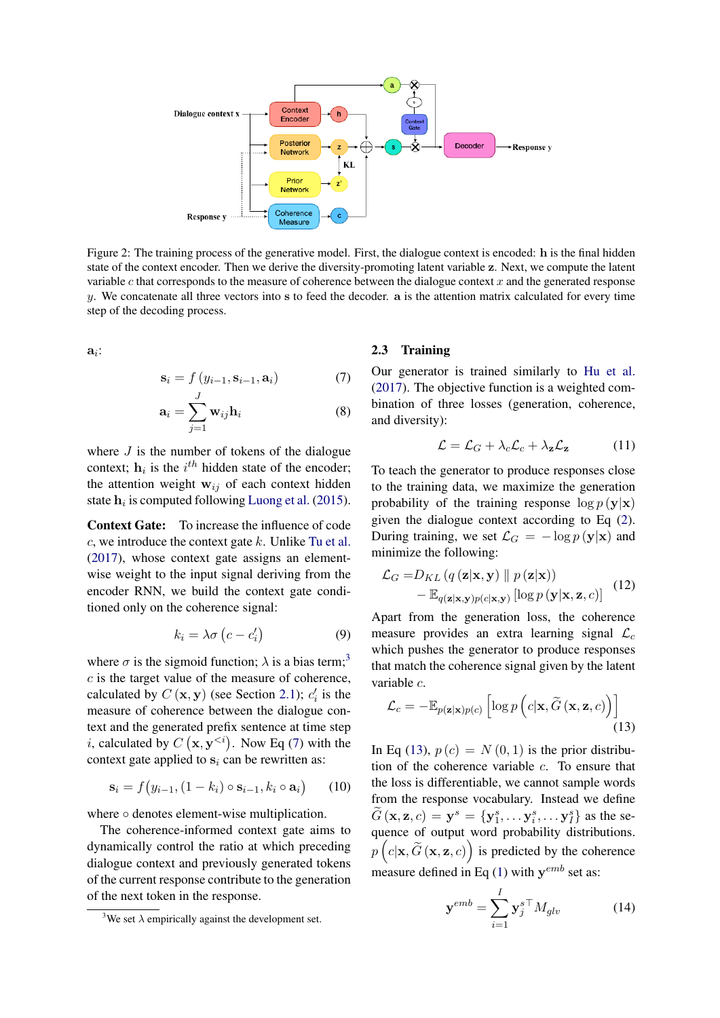

<span id="page-3-1"></span>Figure 2: The training process of the generative model. First, the dialogue context is encoded: h is the final hidden state of the context encoder. Then we derive the diversity-promoting latent variable z. Next, we compute the latent variable c that corresponds to the measure of coherence between the dialogue context  $x$  and the generated response  $y$ . We concatenate all three vectors into  $s$  to feed the decoder.  $a$  is the attention matrix calculated for every time step of the decoding process.

 $a_i$ :

$$
\mathbf{s}_{i} = f(y_{i-1}, \mathbf{s}_{i-1}, \mathbf{a}_{i}) \tag{7}
$$

$$
\mathbf{a}_{i} = \sum_{j=1}^{J} \mathbf{w}_{ij} \mathbf{h}_{i}
$$
 (8)

where  $J$  is the number of tokens of the dialogue context;  $h_i$  is the  $i^{th}$  hidden state of the encoder; the attention weight  $w_{ij}$  of each context hidden state  $h_i$  is computed following [Luong et al.](#page-9-11) [\(2015\)](#page-9-11).

Context Gate: To increase the influence of code  $c$ , we introduce the context gate  $k$ . Unlike [Tu et al.](#page-9-9) [\(2017\)](#page-9-9), whose context gate assigns an elementwise weight to the input signal deriving from the encoder RNN, we build the context gate conditioned only on the coherence signal:

$$
k_i = \lambda \sigma \left( c - c_i' \right) \tag{9}
$$

where  $\sigma$  is the sigmoid function;  $\lambda$  is a bias term;<sup>[3](#page-3-2)</sup>  $c$  is the target value of the measure of coherence, calculated by  $C(\mathbf{x}, \mathbf{y})$  (see Section [2.1\)](#page-1-1);  $c_i$  is the measure of coherence between the dialogue context and the generated prefix sentence at time step *i*, calculated by  $C(\mathbf{x}, \mathbf{y}^{< i})$ . Now Eq [\(7\)](#page-3-3) with the context gate applied to  $s_i$  can be rewritten as:

$$
\mathbf{s}_i = f(y_{i-1}, (1-k_i) \circ \mathbf{s}_{i-1}, k_i \circ \mathbf{a}_i) \qquad (10)
$$

where ○ denotes element-wise multiplication.

The coherence-informed context gate aims to dynamically control the ratio at which preceding dialogue context and previously generated tokens of the current response contribute to the generation of the next token in the response.

## <span id="page-3-0"></span>2.3 Training

<span id="page-3-3"></span>Our generator is trained similarly to [Hu et al.](#page-8-1) [\(2017\)](#page-8-1). The objective function is a weighted combination of three losses (generation, coherence, and diversity):

<span id="page-3-5"></span>
$$
\mathcal{L} = \mathcal{L}_G + \lambda_c \mathcal{L}_c + \lambda_\mathbf{z} \mathcal{L}_\mathbf{z} \tag{11}
$$

To teach the generator to produce responses close to the training data, we maximize the generation probability of the training response  $\log p(\mathbf{y}|\mathbf{x})$ given the dialogue context according to Eq [\(2\)](#page-2-0). During training, we set  $\mathcal{L}_G = -\log p(\mathbf{y}|\mathbf{x})$  and minimize the following:

$$
\mathcal{L}_G = D_{KL} (q(\mathbf{z}|\mathbf{x}, \mathbf{y}) \parallel p(\mathbf{z}|\mathbf{x})) - \mathbb{E}_{q(\mathbf{z}|\mathbf{x}, \mathbf{y})p(c|\mathbf{x}, \mathbf{y})} [\log p(\mathbf{y}|\mathbf{x}, \mathbf{z}, c)]
$$
(12)

Apart from the generation loss, the coherence measure provides an extra learning signal  $\mathcal{L}_c$ which pushes the generator to produce responses that match the coherence signal given by the latent variable c.

<span id="page-3-4"></span>
$$
\mathcal{L}_c = -\mathbb{E}_{p(\mathbf{z}|\mathbf{x})p(c)} \left[ \log p\left( c|\mathbf{x}, \widetilde{G}\left(\mathbf{x}, \mathbf{z}, c\right) \right) \right]
$$
(13)

In Eq [\(13\)](#page-3-4),  $p(c) = N(0, 1)$  is the prior distribution of the coherence variable c. To ensure that the loss is differentiable, we cannot sample words from the response vocabulary. Instead we define  $\widetilde{G}(\mathbf{x}, \mathbf{z}, c) = \mathbf{y}^s = \{\mathbf{y}_1^s, \dots, \mathbf{y}_i^s, \dots, \mathbf{y}_I^s\}$  as the sequence of output word probability distributions.  $p\left(c|\mathbf{x}, \widetilde{G}\left(\mathbf{x}, \mathbf{z}, c\right)\right)$  is predicted by the coherence measure defined in Eq [\(1\)](#page-1-4) with  $y^{emb}$  set as:

$$
\mathbf{y}^{emb} = \sum_{i=1}^{I} \mathbf{y}_j^{s \top} M_{glv} \tag{14}
$$

<span id="page-3-2"></span><sup>&</sup>lt;sup>3</sup>We set  $\lambda$  empirically against the development set.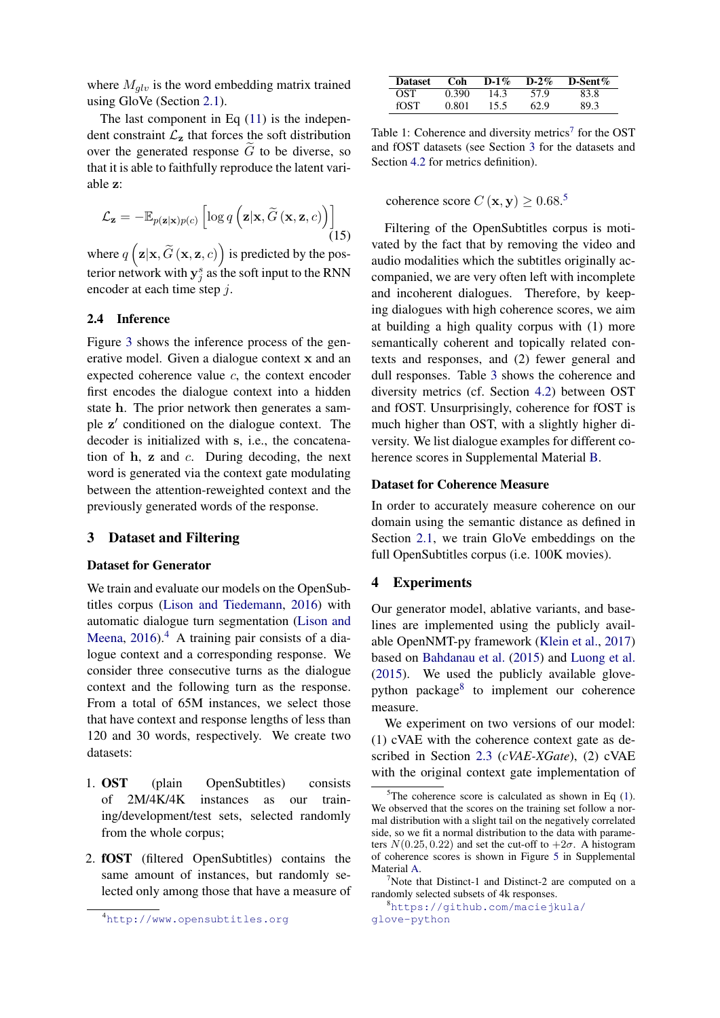where  $M_{qlv}$  is the word embedding matrix trained using GloVe (Section [2.1\)](#page-1-1).

The last component in Eq  $(11)$  is the independent constraint  $\mathcal{L}_z$  that forces the soft distribution over the generated response  $\tilde{G}$  to be diverse, so that it is able to faithfully reproduce the latent variable z:

$$
\mathcal{L}_{\mathbf{z}} = -\mathbb{E}_{p(\mathbf{z}|\mathbf{x})p(c)} \left[ \log q\left(\mathbf{z}|\mathbf{x}, \widetilde{G}\left(\mathbf{x}, \mathbf{z}, c\right)\right) \right]
$$
(15)

where  $q\left(\mathbf{z}|\mathbf{x}, \widetilde{G}\left(\mathbf{x}, \mathbf{z}, c\right)\right)$  is predicted by the posterior network with  $y_j^s$  as the soft input to the RNN encoder at each time step j.

#### <span id="page-4-0"></span>2.4 Inference

Figure [3](#page-5-0) shows the inference process of the generative model. Given a dialogue context x and an expected coherence value  $c$ , the context encoder first encodes the dialogue context into a hidden state h. The prior network then generates a sample z' conditioned on the dialogue context. The decoder is initialized with s, i.e., the concatenation of  $h$ ,  $z$  and  $c$ . During decoding, the next word is generated via the context gate modulating between the attention-reweighted context and the previously generated words of the response.

## <span id="page-4-3"></span>3 Dataset and Filtering

#### Dataset for Generator

We train and evaluate our models on the OpenSubtitles corpus [\(Lison and Tiedemann,](#page-9-12) [2016\)](#page-9-12) with automatic dialogue turn segmentation [\(Lison and](#page-9-10) [Meena,](#page-9-10)  $2016$ .<sup>[4](#page-4-1)</sup> A training pair consists of a dialogue context and a corresponding response. We consider three consecutive turns as the dialogue context and the following turn as the response. From a total of 65M instances, we select those that have context and response lengths of less than 120 and 30 words, respectively. We create two datasets:

- 1. OST (plain OpenSubtitles) consists of 2M/4K/4K instances as our training/development/test sets, selected randomly from the whole corpus;
- <span id="page-4-5"></span>2. fOST (filtered OpenSubtitles) contains the same amount of instances, but randomly selected only among those that have a measure of

<span id="page-4-1"></span><sup>4</sup><http://www.opensubtitles.org>

| <b>Dataset</b> | Coh   | D-1% | $D-2\%$ | D-Sent $%$ |
|----------------|-------|------|---------|------------|
| <b>OST</b>     | 0.390 | 14.3 | 57 Q    | 83.8       |
| <b>fOST</b>    | O 801 | 15.5 | 62.9    | 89.3       |

Table 1: Coherence and diversity metrics<sup>[7](#page-4-2)</sup> for the OST and fOST datasets (see Section [3](#page-4-3) for the datasets and Section [4.2](#page-5-1) for metrics definition).

coherence score  $C(\mathbf{x}, \mathbf{y}) \geq 0.68$ .<sup>[5](#page-4-4)</sup>

Filtering of the OpenSubtitles corpus is motivated by the fact that by removing the video and audio modalities which the subtitles originally accompanied, we are very often left with incomplete and incoherent dialogues. Therefore, by keeping dialogues with high coherence scores, we aim at building a high quality corpus with (1) more semantically coherent and topically related contexts and responses, and (2) fewer general and dull responses. Table [3](#page-4-5) shows the coherence and diversity metrics (cf. Section [4.2\)](#page-5-1) between OST and fOST. Unsurprisingly, coherence for fOST is much higher than OST, with a slightly higher diversity. We list dialogue examples for different coherence scores in Supplemental Material [B.](#page-11-0)

#### Dataset for Coherence Measure

In order to accurately measure coherence on our domain using the semantic distance as defined in Section [2.1,](#page-1-1) we train GloVe embeddings on the full OpenSubtitles corpus (i.e. 100K movies).

#### <span id="page-4-7"></span>4 Experiments

Our generator model, ablative variants, and baselines are implemented using the publicly available OpenNMT-py framework [\(Klein et al.,](#page-8-5) [2017\)](#page-8-5) based on [Bahdanau et al.](#page-8-2) [\(2015\)](#page-8-2) and [Luong et al.](#page-9-11) [\(2015\)](#page-9-11). We used the publicly available glove-python package<sup>[8](#page-4-6)</sup> to implement our coherence measure.

We experiment on two versions of our model: (1) cVAE with the coherence context gate as described in Section [2.3](#page-3-0) (*cVAE-XGate*), (2) cVAE with the original context gate implementation of

<span id="page-4-4"></span> $^5$ The coherence score is calculated as shown in Eq [\(1\)](#page-1-4). We observed that the scores on the training set follow a normal distribution with a slight tail on the negatively correlated side, so we fit a normal distribution to the data with parameters  $N(0.25, 0.22)$  and set the cut-off to  $+2\sigma$ . A histogram of coherence scores is shown in Figure [5](#page-11-1) in Supplemental Material [A.](#page-11-2)

<span id="page-4-2"></span><sup>7</sup>Note that Distinct-1 and Distinct-2 are computed on a randomly selected subsets of 4k responses.

<span id="page-4-6"></span><sup>8</sup>[https://github.com/maciejkula/](https://github.com/maciejkula/glove-python) [glove-python](https://github.com/maciejkula/glove-python)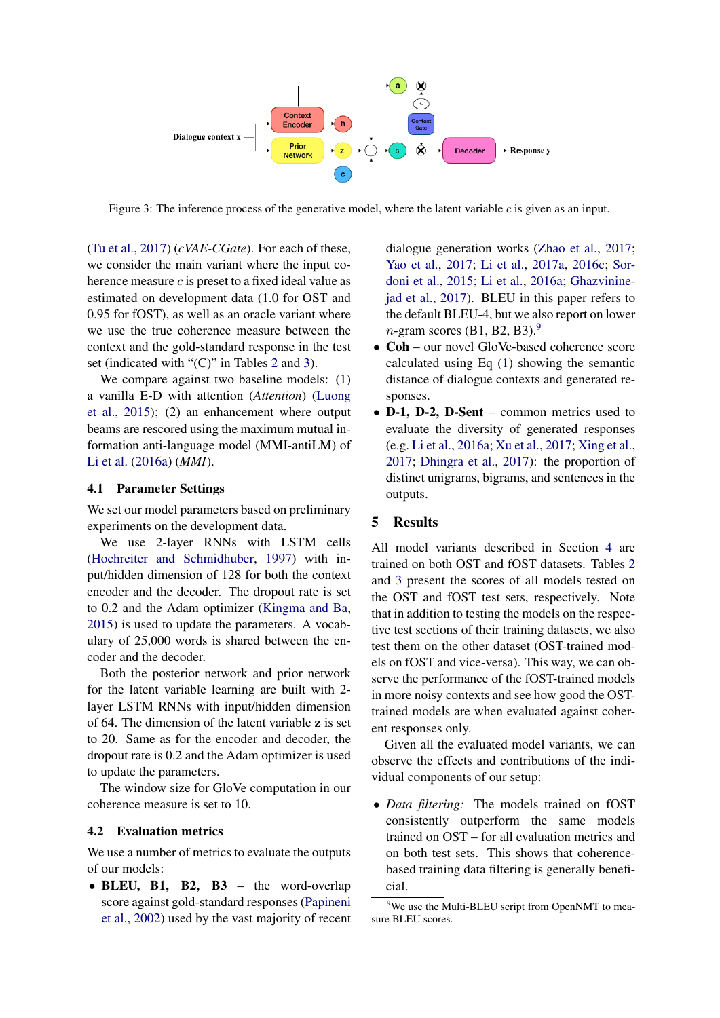

<span id="page-5-0"></span>Figure 3: The inference process of the generative model, where the latent variable c is given as an input.

[\(Tu et al.,](#page-9-9) [2017\)](#page-9-9) (*cVAE-CGate*). For each of these, we consider the main variant where the input coherence measure c is preset to a fixed ideal value as estimated on development data (1.0 for OST and 0.95 for fOST), as well as an oracle variant where we use the true coherence measure between the context and the gold-standard response in the test set (indicated with "(C)" in Tables [2](#page-6-0) and [3\)](#page-6-1).

We compare against two baseline models: (1) a vanilla E-D with attention (*Attention*) [\(Luong](#page-9-11) [et al.,](#page-9-11) [2015\)](#page-9-11); (2) an enhancement where output beams are rescored using the maximum mutual information anti-language model (MMI-antiLM) of [Li et al.](#page-8-0) [\(2016a\)](#page-8-0) (*MMI*).

## 4.1 Parameter Settings

We set our model parameters based on preliminary experiments on the development data.

We use 2-layer RNNs with LSTM cells [\(Hochreiter and Schmidhuber,](#page-8-6) [1997\)](#page-8-6) with input/hidden dimension of 128 for both the context encoder and the decoder. The dropout rate is set to 0.2 and the Adam optimizer [\(Kingma and Ba,](#page-8-7) [2015\)](#page-8-7) is used to update the parameters. A vocabulary of 25,000 words is shared between the encoder and the decoder.

Both the posterior network and prior network for the latent variable learning are built with 2 layer LSTM RNNs with input/hidden dimension of 64. The dimension of the latent variable z is set to 20. Same as for the encoder and decoder, the dropout rate is 0.2 and the Adam optimizer is used to update the parameters.

The window size for GloVe computation in our coherence measure is set to 10.

### <span id="page-5-1"></span>4.2 Evaluation metrics

We use a number of metrics to evaluate the outputs of our models:

• BLEU, B1, B2, B3 – the word-overlap score against gold-standard responses [\(Papineni](#page-9-13) [et al.,](#page-9-13) [2002\)](#page-9-13) used by the vast majority of recent

dialogue generation works [\(Zhao et al.,](#page-10-0) [2017;](#page-10-0) [Yao et al.,](#page-10-1) [2017;](#page-10-1) [Li et al.,](#page-9-5) [2017a,](#page-9-5) [2016c;](#page-9-14) [Sor](#page-9-1)[doni et al.,](#page-9-1) [2015;](#page-9-1) [Li et al.,](#page-8-0) [2016a;](#page-8-0) [Ghazvinine](#page-8-8)[jad et al.,](#page-8-8) [2017\)](#page-8-8). BLEU in this paper refers to the default BLEU-4, but we also report on lower  $n$ -gram scores (B1, B2, B3).<sup>[9](#page-5-2)</sup>

- Coh our novel GloVe-based coherence score calculated using Eq [\(1\)](#page-1-4) showing the semantic distance of dialogue contexts and generated responses.
- D-1, D-2, D-Sent common metrics used to evaluate the diversity of generated responses (e.g. [Li et al.,](#page-8-0) [2016a;](#page-8-0) [Xu et al.,](#page-10-2) [2017;](#page-10-2) [Xing et al.,](#page-10-3) [2017;](#page-10-3) [Dhingra et al.,](#page-8-9) [2017\)](#page-8-9): the proportion of distinct unigrams, bigrams, and sentences in the outputs.

## 5 Results

All model variants described in Section [4](#page-4-7) are trained on both OST and fOST datasets. Tables [2](#page-6-0) and [3](#page-6-1) present the scores of all models tested on the OST and fOST test sets, respectively. Note that in addition to testing the models on the respective test sections of their training datasets, we also test them on the other dataset (OST-trained models on fOST and vice-versa). This way, we can observe the performance of the fOST-trained models in more noisy contexts and see how good the OSTtrained models are when evaluated against coherent responses only.

Given all the evaluated model variants, we can observe the effects and contributions of the individual components of our setup:

• *Data filtering:* The models trained on fOST consistently outperform the same models trained on OST – for all evaluation metrics and on both test sets. This shows that coherencebased training data filtering is generally beneficial.

<span id="page-5-2"></span><sup>&</sup>lt;sup>9</sup>We use the Multi-BLEU script from OpenNMT to measure BLEU scores.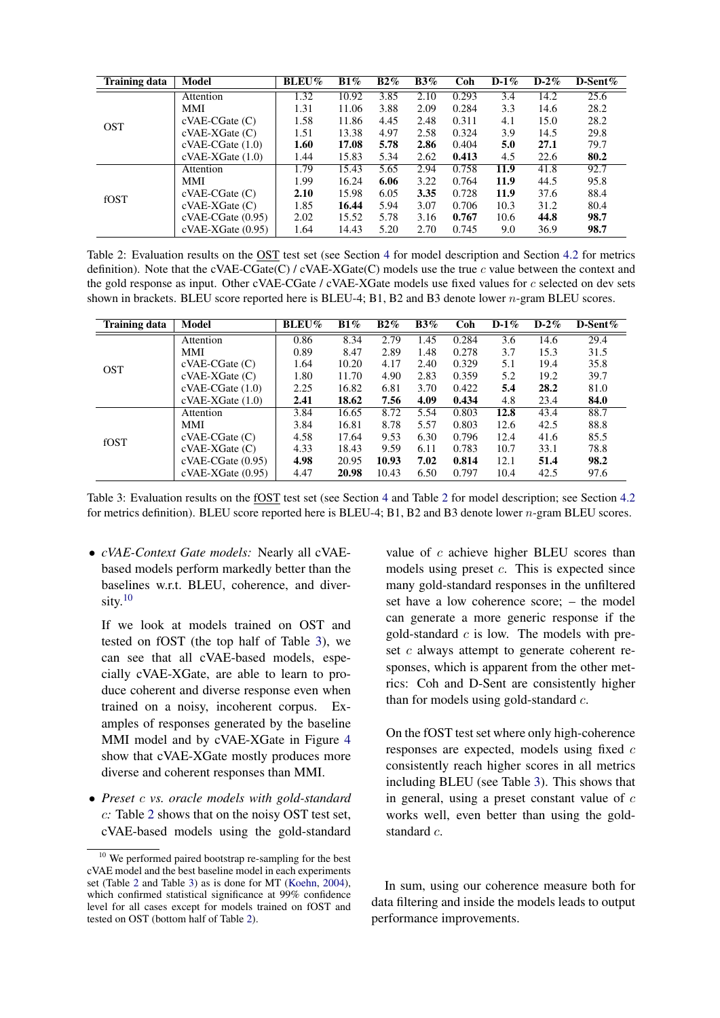| <b>Training data</b> | Model              | <b>BLEU%</b> | $B1\%$ | $B2\%$ | $B3\%$ | Coh   | $D-1\%$ | $D-2\%$ | D-Sent $%$ |
|----------------------|--------------------|--------------|--------|--------|--------|-------|---------|---------|------------|
|                      | Attention          | 1.32         | 10.92  | 3.85   | 2.10   | 0.293 | 3.4     | 14.2    | 25.6       |
|                      | <b>MMI</b>         | 1.31         | 11.06  | 3.88   | 2.09   | 0.284 | 3.3     | 14.6    | 28.2       |
| <b>OST</b>           | $cVAE-CGate(C)$    | 1.58         | 11.86  | 4.45   | 2.48   | 0.311 | 4.1     | 15.0    | 28.2       |
|                      | $cVAE-XGate(C)$    | 1.51         | 13.38  | 4.97   | 2.58   | 0.324 | 3.9     | 14.5    | 29.8       |
|                      | $cVAE-CGate(1.0)$  | 1.60         | 17.08  | 5.78   | 2.86   | 0.404 | 5.0     | 27.1    | 79.7       |
|                      | $cVAE-XGate(1.0)$  | 1.44         | 15.83  | 5.34   | 2.62   | 0.413 | 4.5     | 22.6    | 80.2       |
|                      | Attention          | 1.79         | 15.43  | 5.65   | 2.94   | 0.758 | 11.9    | 41.8    | 92.7       |
|                      | MMI                | 1.99         | 16.24  | 6.06   | 3.22   | 0.764 | 11.9    | 44.5    | 95.8       |
| fOST                 | $cVAE-CGate(C)$    | 2.10         | 15.98  | 6.05   | 3.35   | 0.728 | 11.9    | 37.6    | 88.4       |
|                      | $cVAE-XGate(C)$    | 1.85         | 16.44  | 5.94   | 3.07   | 0.706 | 10.3    | 31.2    | 80.4       |
|                      | $cVAE-CGate(0.95)$ | 2.02         | 15.52  | 5.78   | 3.16   | 0.767 | 10.6    | 44.8    | 98.7       |
|                      | $cVAE-XGate(0.95)$ | 1.64         | 14.43  | 5.20   | 2.70   | 0.745 | 9.0     | 36.9    | 98.7       |

<span id="page-6-0"></span>Table 2: Evaluation results on the OST test set (see Section [4](#page-4-7) for model description and Section [4.2](#page-5-1) for metrics definition). Note that the cVAE-CGate(C) / cVAE-XGate(C) models use the true  $c$  value between the context and the gold response as input. Other cVAE-CGate / cVAE-XGate models use fixed values for c selected on dev sets shown in brackets. BLEU score reported here is BLEU-4; B1, B2 and B3 denote lower *n*-gram BLEU scores.

| <b>Training data</b> | Model              | <b>BLEU%</b> | B1%   | $B2\%$ | $B3\%$ | Coh   | $D-1\%$ | $D-2\%$ | D-Sent $%$ |
|----------------------|--------------------|--------------|-------|--------|--------|-------|---------|---------|------------|
|                      | Attention          | 0.86         | 8.34  | 2.79   | 1.45   | 0.284 | 3.6     | 14.6    | 29.4       |
|                      | MMI                | 0.89         | 8.47  | 2.89   | 1.48   | 0.278 | 3.7     | 15.3    | 31.5       |
| <b>OST</b>           | $cVAE-CGate(C)$    | 1.64         | 10.20 | 4.17   | 2.40   | 0.329 | 5.1     | 19.4    | 35.8       |
|                      | $cVAE-XGate(C)$    | 1.80         | 11.70 | 4.90   | 2.83   | 0.359 | 5.2     | 19.2    | 39.7       |
|                      | $cVAE-CGate(1.0)$  | 2.25         | 16.82 | 6.81   | 3.70   | 0.422 | 5.4     | 28.2    | 81.0       |
|                      | $cVAE-XGate(1.0)$  | 2.41         | 18.62 | 7.56   | 4.09   | 0.434 | 4.8     | 23.4    | 84.0       |
|                      | Attention          | 3.84         | 16.65 | 8.72   | 5.54   | 0.803 | 12.8    | 43.4    | 88.7       |
|                      | MMI                | 3.84         | 16.81 | 8.78   | 5.57   | 0.803 | 12.6    | 42.5    | 88.8       |
| fOST                 | $cVAE-CGate(C)$    | 4.58         | 17.64 | 9.53   | 6.30   | 0.796 | 12.4    | 41.6    | 85.5       |
|                      | $cVAE-XGate(C)$    | 4.33         | 18.43 | 9.59   | 6.11   | 0.783 | 10.7    | 33.1    | 78.8       |
|                      | $cVAE-CGate(0.95)$ | 4.98         | 20.95 | 10.93  | 7.02   | 0.814 | 12.1    | 51.4    | 98.2       |
|                      | $cVAE-XGate(0.95)$ | 4.47         | 20.98 | 10.43  | 6.50   | 0.797 | 10.4    | 42.5    | 97.6       |

<span id="page-6-1"></span>Table 3: Evaluation results on the fOST test set (see Section [4](#page-4-7) and Table [2](#page-6-0) for model description; see Section [4.2](#page-5-1) for metrics definition). BLEU score reported here is BLEU-4; B1, B2 and B3 denote lower n-gram BLEU scores.

• *cVAE-Context Gate models:* Nearly all cVAEbased models perform markedly better than the baselines w.r.t. BLEU, coherence, and diversity. $10$ 

If we look at models trained on OST and tested on fOST (the top half of Table [3\)](#page-6-1), we can see that all cVAE-based models, especially cVAE-XGate, are able to learn to produce coherent and diverse response even when trained on a noisy, incoherent corpus. Examples of responses generated by the baseline MMI model and by cVAE-XGate in Figure [4](#page-7-0) show that cVAE-XGate mostly produces more diverse and coherent responses than MMI.

• *Preset* c *vs. oracle models with gold-standard* c*:* Table [2](#page-6-0) shows that on the noisy OST test set, cVAE-based models using the gold-standard

value of c achieve higher BLEU scores than models using preset  $c$ . This is expected since many gold-standard responses in the unfiltered set have a low coherence score; – the model can generate a more generic response if the gold-standard  $c$  is low. The models with preset c always attempt to generate coherent responses, which is apparent from the other metrics: Coh and D-Sent are consistently higher than for models using gold-standard  $c$ .

On the fOST test set where only high-coherence responses are expected, models using fixed  $c$ consistently reach higher scores in all metrics including BLEU (see Table [3\)](#page-6-1). This shows that in general, using a preset constant value of  $c$ works well, even better than using the goldstandard c.

In sum, using our coherence measure both for data filtering and inside the models leads to output performance improvements.

<span id="page-6-2"></span><sup>&</sup>lt;sup>10</sup> We performed paired bootstrap re-sampling for the best cVAE model and the best baseline model in each experiments set (Table [2](#page-6-0) and Table [3\)](#page-6-1) as is done for MT [\(Koehn,](#page-8-10) [2004\)](#page-8-10). which confirmed statistical significance at 99% confidence level for all cases except for models trained on fOST and tested on OST (bottom half of Table [2\)](#page-6-0).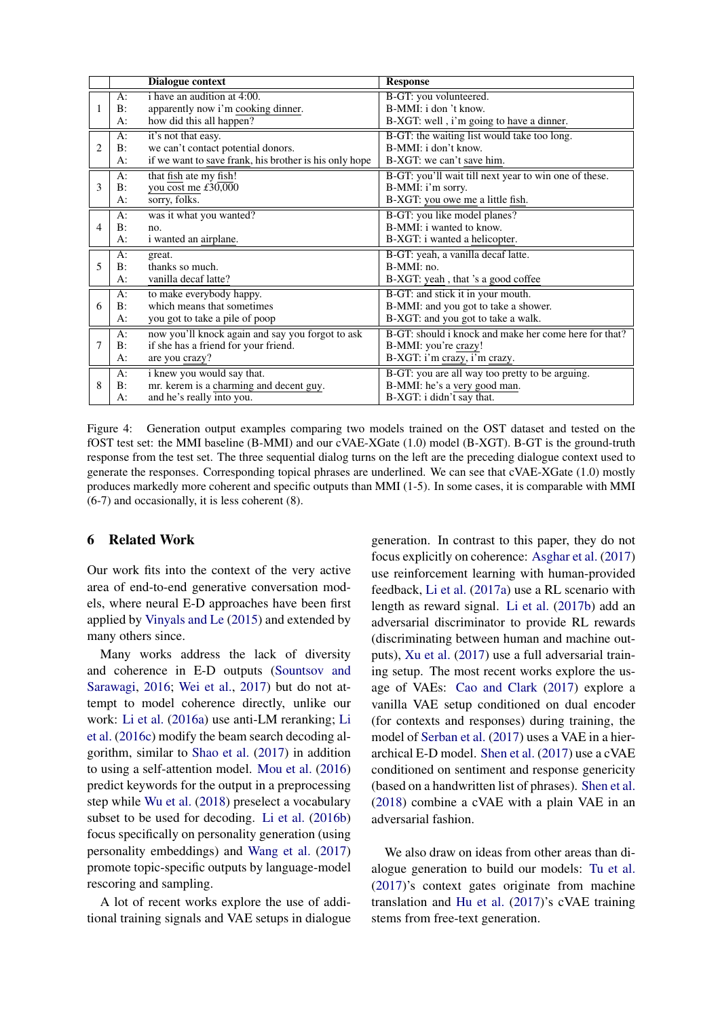|                |       | <b>Dialogue context</b>                                | <b>Response</b>                                       |
|----------------|-------|--------------------------------------------------------|-------------------------------------------------------|
|                | $A$ : | i have an audition at 4:00.                            | B-GT: you volunteered.                                |
|                | B:    | apparently now i'm cooking dinner.                     | B-MMI: i don 't know.                                 |
|                | A:    | how did this all happen?                               | B-XGT: well, i'm going to have a dinner.              |
|                | A:    | it's not that easy.                                    | B-GT: the waiting list would take too long.           |
| $\mathfrak{D}$ | B:    | we can't contact potential donors.                     | B-MMI: i don't know.                                  |
|                | A:    | if we want to save frank, his brother is his only hope | B-XGT: we can't save him.                             |
|                | A:    | that fish ate my fish!                                 | B-GT: you'll wait till next year to win one of these. |
| 3              | B:    | you cost me £30,000                                    | B-MMI: i'm sorry.                                     |
|                | A:    | sorry, folks.                                          | B-XGT: you owe me a little fish.                      |
|                | A:    | was it what you wanted?                                | B-GT: you like model planes?                          |
| 4              | B:    | no.                                                    | B-MMI: i wanted to know.                              |
|                | A:    | i wanted an airplane.                                  | B-XGT: i wanted a helicopter.                         |
|                | A:    | great.                                                 | B-GT: yeah, a vanilla decaf latte.                    |
| 5              | B:    | thanks so much.                                        | $B-MMI:no.$                                           |
|                | A:    | vanilla decaf latte?                                   | B-XGT: yeah, that 's a good coffee                    |
|                | A:    | to make everybody happy.                               | B-GT: and stick it in your mouth.                     |
| 6              | B:    | which means that sometimes                             | B-MMI: and you got to take a shower.                  |
|                | A:    | you got to take a pile of poop                         | B-XGT: and you got to take a walk.                    |
|                | A:    | now you'll knock again and say you forgot to ask       | B-GT: should i knock and make her come here for that? |
|                | B:    | if she has a friend for your friend.                   | B-MMI: you're crazy!                                  |
|                | A:    | are you crazy?                                         | B-XGT: i'm crazy, i'm crazy.                          |
|                | A:    | i knew you would say that.                             | B-GT: you are all way too pretty to be arguing.       |
| 8              | B:    | mr. kerem is a charming and decent guy.                | B-MMI: he's a very good man.                          |
|                | A:    | and he's really into you.                              | B-XGT: i didn't say that.                             |

<span id="page-7-0"></span>Figure 4: Generation output examples comparing two models trained on the OST dataset and tested on the fOST test set: the MMI baseline (B-MMI) and our cVAE-XGate (1.0) model (B-XGT). B-GT is the ground-truth response from the test set. The three sequential dialog turns on the left are the preceding dialogue context used to generate the responses. Corresponding topical phrases are underlined. We can see that cVAE-XGate (1.0) mostly produces markedly more coherent and specific outputs than MMI (1-5). In some cases, it is comparable with MMI (6-7) and occasionally, it is less coherent (8).

## 6 Related Work

Our work fits into the context of the very active area of end-to-end generative conversation models, where neural E-D approaches have been first applied by [Vinyals and Le](#page-9-2) [\(2015\)](#page-9-2) and extended by many others since.

Many works address the lack of diversity and coherence in E-D outputs [\(Sountsov and](#page-9-3) [Sarawagi,](#page-9-3) [2016;](#page-9-3) [Wei et al.,](#page-9-4) [2017\)](#page-9-4) but do not attempt to model coherence directly, unlike our work: [Li et al.](#page-8-0) [\(2016a\)](#page-8-0) use anti-LM reranking; [Li](#page-9-14) [et al.](#page-9-14) [\(2016c\)](#page-9-14) modify the beam search decoding algorithm, similar to [Shao et al.](#page-9-15) [\(2017\)](#page-9-15) in addition to using a self-attention model. [Mou et al.](#page-9-16) [\(2016\)](#page-9-16) predict keywords for the output in a preprocessing step while [Wu et al.](#page-10-4) [\(2018\)](#page-10-4) preselect a vocabulary subset to be used for decoding. [Li et al.](#page-8-11) [\(2016b\)](#page-8-11) focus specifically on personality generation (using personality embeddings) and [Wang et al.](#page-9-17) [\(2017\)](#page-9-17) promote topic-specific outputs by language-model rescoring and sampling.

A lot of recent works explore the use of additional training signals and VAE setups in dialogue generation. In contrast to this paper, they do not focus explicitly on coherence: [Asghar et al.](#page-8-12) [\(2017\)](#page-8-12) use reinforcement learning with human-provided feedback, [Li et al.](#page-9-5) [\(2017a\)](#page-9-5) use a RL scenario with length as reward signal. [Li et al.](#page-9-18) [\(2017b\)](#page-9-18) add an adversarial discriminator to provide RL rewards (discriminating between human and machine outputs), [Xu et al.](#page-10-2) [\(2017\)](#page-10-2) use a full adversarial training setup. The most recent works explore the usage of VAEs: [Cao and Clark](#page-8-13) [\(2017\)](#page-8-13) explore a vanilla VAE setup conditioned on dual encoder (for contexts and responses) during training, the model of [Serban et al.](#page-9-6) [\(2017\)](#page-9-6) uses a VAE in a hierarchical E-D model. [Shen et al.](#page-9-19) [\(2017\)](#page-9-19) use a cVAE conditioned on sentiment and response genericity (based on a handwritten list of phrases). [Shen et al.](#page-9-20) [\(2018\)](#page-9-20) combine a cVAE with a plain VAE in an adversarial fashion.

We also draw on ideas from other areas than dialogue generation to build our models: [Tu et al.](#page-9-9) [\(2017\)](#page-9-9)'s context gates originate from machine translation and [Hu et al.](#page-8-1) [\(2017\)](#page-8-1)'s cVAE training stems from free-text generation.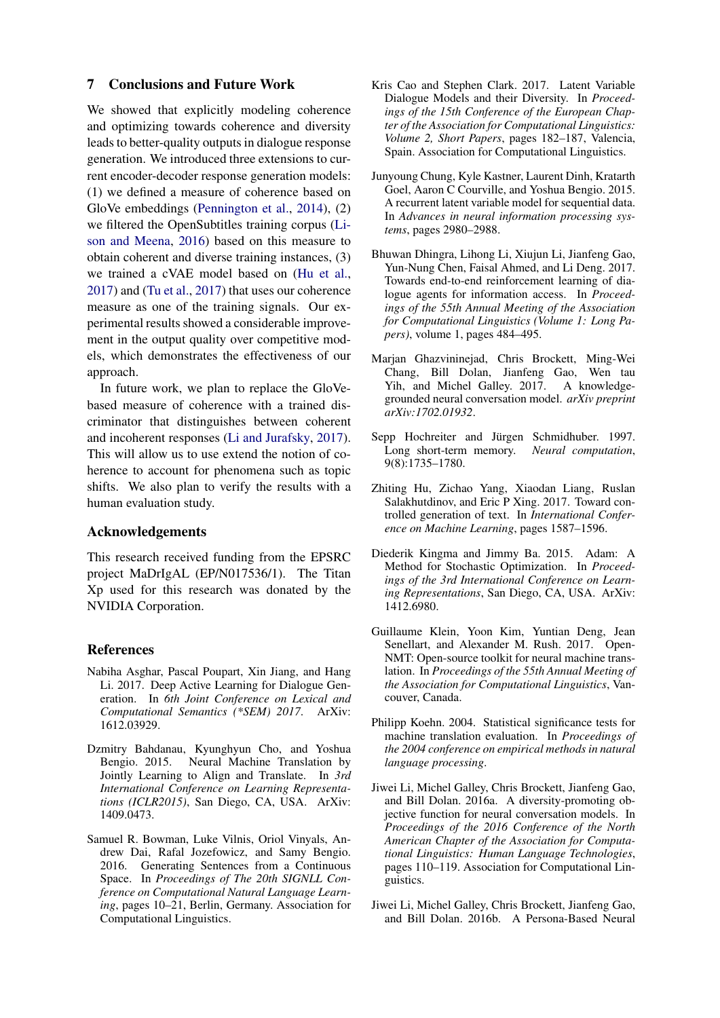## 7 Conclusions and Future Work

We showed that explicitly modeling coherence and optimizing towards coherence and diversity leads to better-quality outputs in dialogue response generation. We introduced three extensions to current encoder-decoder response generation models: (1) we defined a measure of coherence based on GloVe embeddings [\(Pennington et al.,](#page-9-8) [2014\)](#page-9-8), (2) we filtered the OpenSubtitles training corpus [\(Li](#page-9-10)[son and Meena,](#page-9-10) [2016\)](#page-9-10) based on this measure to obtain coherent and diverse training instances, (3) we trained a cVAE model based on [\(Hu et al.,](#page-8-1) [2017\)](#page-8-1) and [\(Tu et al.,](#page-9-9) [2017\)](#page-9-9) that uses our coherence measure as one of the training signals. Our experimental results showed a considerable improvement in the output quality over competitive models, which demonstrates the effectiveness of our approach.

In future work, we plan to replace the GloVebased measure of coherence with a trained discriminator that distinguishes between coherent and incoherent responses [\(Li and Jurafsky,](#page-9-7) [2017\)](#page-9-7). This will allow us to use extend the notion of coherence to account for phenomena such as topic shifts. We also plan to verify the results with a human evaluation study.

## Acknowledgements

This research received funding from the EPSRC project MaDrIgAL (EP/N017536/1). The Titan Xp used for this research was donated by the NVIDIA Corporation.

#### References

- <span id="page-8-12"></span>Nabiha Asghar, Pascal Poupart, Xin Jiang, and Hang Li. 2017. Deep Active Learning for Dialogue Generation. In *6th Joint Conference on Lexical and Computational Semantics (\*SEM) 2017*. ArXiv: 1612.03929.
- <span id="page-8-2"></span>Dzmitry Bahdanau, Kyunghyun Cho, and Yoshua Bengio. 2015. Neural Machine Translation by Jointly Learning to Align and Translate. In *3rd International Conference on Learning Representations (ICLR2015)*, San Diego, CA, USA. ArXiv: 1409.0473.
- <span id="page-8-3"></span>Samuel R. Bowman, Luke Vilnis, Oriol Vinyals, Andrew Dai, Rafal Jozefowicz, and Samy Bengio. 2016. Generating Sentences from a Continuous Space. In *Proceedings of The 20th SIGNLL Conference on Computational Natural Language Learning*, pages 10–21, Berlin, Germany. Association for Computational Linguistics.
- <span id="page-8-13"></span>Kris Cao and Stephen Clark. 2017. Latent Variable Dialogue Models and their Diversity. In *Proceedings of the 15th Conference of the European Chapter of the Association for Computational Linguistics: Volume 2, Short Papers*, pages 182–187, Valencia, Spain. Association for Computational Linguistics.
- <span id="page-8-4"></span>Junyoung Chung, Kyle Kastner, Laurent Dinh, Kratarth Goel, Aaron C Courville, and Yoshua Bengio. 2015. A recurrent latent variable model for sequential data. In *Advances in neural information processing systems*, pages 2980–2988.
- <span id="page-8-9"></span>Bhuwan Dhingra, Lihong Li, Xiujun Li, Jianfeng Gao, Yun-Nung Chen, Faisal Ahmed, and Li Deng. 2017. Towards end-to-end reinforcement learning of dialogue agents for information access. In *Proceedings of the 55th Annual Meeting of the Association for Computational Linguistics (Volume 1: Long Papers)*, volume 1, pages 484–495.
- <span id="page-8-8"></span>Marjan Ghazvininejad, Chris Brockett, Ming-Wei Chang, Bill Dolan, Jianfeng Gao, Wen tau Yih, and Michel Galley. 2017. A knowledgegrounded neural conversation model. *arXiv preprint arXiv:1702.01932*.
- <span id="page-8-6"></span>Sepp Hochreiter and Jürgen Schmidhuber. 1997. Long short-term memory. *Neural computation*, 9(8):1735–1780.
- <span id="page-8-1"></span>Zhiting Hu, Zichao Yang, Xiaodan Liang, Ruslan Salakhutdinov, and Eric P Xing. 2017. Toward controlled generation of text. In *International Conference on Machine Learning*, pages 1587–1596.
- <span id="page-8-7"></span>Diederik Kingma and Jimmy Ba. 2015. Adam: A Method for Stochastic Optimization. In *Proceedings of the 3rd International Conference on Learning Representations*, San Diego, CA, USA. ArXiv: 1412.6980.
- <span id="page-8-5"></span>Guillaume Klein, Yoon Kim, Yuntian Deng, Jean Senellart, and Alexander M. Rush. 2017. Open-NMT: Open-source toolkit for neural machine translation. In *Proceedings of the 55th Annual Meeting of the Association for Computational Linguistics*, Vancouver, Canada.
- <span id="page-8-10"></span>Philipp Koehn. 2004. Statistical significance tests for machine translation evaluation. In *Proceedings of the 2004 conference on empirical methods in natural language processing*.
- <span id="page-8-0"></span>Jiwei Li, Michel Galley, Chris Brockett, Jianfeng Gao, and Bill Dolan. 2016a. A diversity-promoting objective function for neural conversation models. In *Proceedings of the 2016 Conference of the North American Chapter of the Association for Computational Linguistics: Human Language Technologies*, pages 110–119. Association for Computational Linguistics.
- <span id="page-8-11"></span>Jiwei Li, Michel Galley, Chris Brockett, Jianfeng Gao, and Bill Dolan. 2016b. A Persona-Based Neural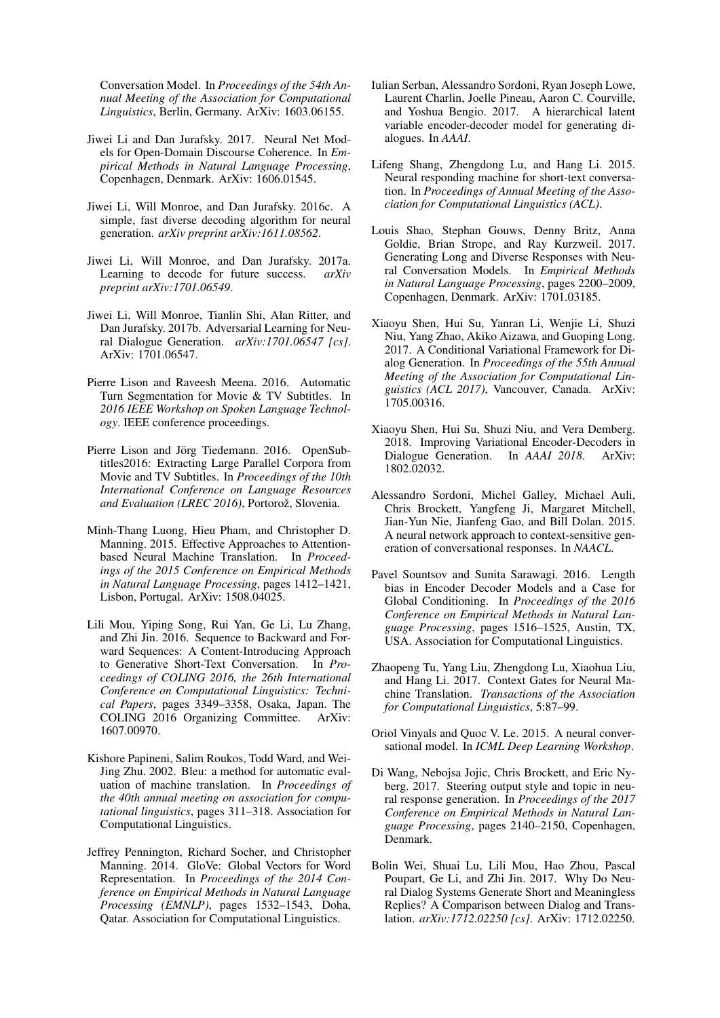Conversation Model. In *Proceedings of the 54th Annual Meeting of the Association for Computational Linguistics*, Berlin, Germany. ArXiv: 1603.06155.

- <span id="page-9-7"></span>Jiwei Li and Dan Jurafsky. 2017. Neural Net Models for Open-Domain Discourse Coherence. In *Empirical Methods in Natural Language Processing*, Copenhagen, Denmark. ArXiv: 1606.01545.
- <span id="page-9-14"></span>Jiwei Li, Will Monroe, and Dan Jurafsky. 2016c. A simple, fast diverse decoding algorithm for neural generation. *arXiv preprint arXiv:1611.08562*.
- <span id="page-9-5"></span>Jiwei Li, Will Monroe, and Dan Jurafsky. 2017a. Learning to decode for future success. *arXiv preprint arXiv:1701.06549*.
- <span id="page-9-18"></span>Jiwei Li, Will Monroe, Tianlin Shi, Alan Ritter, and Dan Jurafsky. 2017b. Adversarial Learning for Neural Dialogue Generation. *arXiv:1701.06547 [cs]*. ArXiv: 1701.06547.
- <span id="page-9-10"></span>Pierre Lison and Raveesh Meena. 2016. Automatic Turn Segmentation for Movie & TV Subtitles. In *2016 IEEE Workshop on Spoken Language Technology*. IEEE conference proceedings.
- <span id="page-9-12"></span>Pierre Lison and Jörg Tiedemann. 2016. OpenSubtitles2016: Extracting Large Parallel Corpora from Movie and TV Subtitles. In *Proceedings of the 10th International Conference on Language Resources and Evaluation (LREC 2016)*, Portorož, Slovenia.
- <span id="page-9-11"></span>Minh-Thang Luong, Hieu Pham, and Christopher D. Manning. 2015. Effective Approaches to Attentionbased Neural Machine Translation. In *Proceedings of the 2015 Conference on Empirical Methods in Natural Language Processing*, pages 1412–1421, Lisbon, Portugal. ArXiv: 1508.04025.
- <span id="page-9-16"></span>Lili Mou, Yiping Song, Rui Yan, Ge Li, Lu Zhang, and Zhi Jin. 2016. Sequence to Backward and Forward Sequences: A Content-Introducing Approach to Generative Short-Text Conversation. In *Proceedings of COLING 2016, the 26th International Conference on Computational Linguistics: Technical Papers*, pages 3349–3358, Osaka, Japan. The COLING 2016 Organizing Committee. ArXiv: 1607.00970.
- <span id="page-9-13"></span>Kishore Papineni, Salim Roukos, Todd Ward, and Wei-Jing Zhu. 2002. Bleu: a method for automatic evaluation of machine translation. In *Proceedings of the 40th annual meeting on association for computational linguistics*, pages 311–318. Association for Computational Linguistics.
- <span id="page-9-8"></span>Jeffrey Pennington, Richard Socher, and Christopher Manning. 2014. GloVe: Global Vectors for Word Representation. In *Proceedings of the 2014 Conference on Empirical Methods in Natural Language Processing (EMNLP)*, pages 1532–1543, Doha, Qatar. Association for Computational Linguistics.
- <span id="page-9-6"></span>Iulian Serban, Alessandro Sordoni, Ryan Joseph Lowe, Laurent Charlin, Joelle Pineau, Aaron C. Courville, and Yoshua Bengio. 2017. A hierarchical latent variable encoder-decoder model for generating dialogues. In *AAAI*.
- <span id="page-9-0"></span>Lifeng Shang, Zhengdong Lu, and Hang Li. 2015. Neural responding machine for short-text conversation. In *Proceedings of Annual Meeting of the Association for Computational Linguistics (ACL)*.
- <span id="page-9-15"></span>Louis Shao, Stephan Gouws, Denny Britz, Anna Goldie, Brian Strope, and Ray Kurzweil. 2017. Generating Long and Diverse Responses with Neural Conversation Models. In *Empirical Methods in Natural Language Processing*, pages 2200–2009, Copenhagen, Denmark. ArXiv: 1701.03185.
- <span id="page-9-19"></span>Xiaoyu Shen, Hui Su, Yanran Li, Wenjie Li, Shuzi Niu, Yang Zhao, Akiko Aizawa, and Guoping Long. 2017. A Conditional Variational Framework for Dialog Generation. In *Proceedings of the 55th Annual Meeting of the Association for Computational Linguistics (ACL 2017)*, Vancouver, Canada. ArXiv: 1705.00316.
- <span id="page-9-20"></span>Xiaoyu Shen, Hui Su, Shuzi Niu, and Vera Demberg. 2018. Improving Variational Encoder-Decoders in Dialogue Generation. In *AAAI 2018*. ArXiv: 1802.02032.
- <span id="page-9-1"></span>Alessandro Sordoni, Michel Galley, Michael Auli, Chris Brockett, Yangfeng Ji, Margaret Mitchell, Jian-Yun Nie, Jianfeng Gao, and Bill Dolan. 2015. A neural network approach to context-sensitive generation of conversational responses. In *NAACL*.
- <span id="page-9-3"></span>Pavel Sountsov and Sunita Sarawagi. 2016. Length bias in Encoder Decoder Models and a Case for Global Conditioning. In *Proceedings of the 2016 Conference on Empirical Methods in Natural Language Processing*, pages 1516–1525, Austin, TX, USA. Association for Computational Linguistics.
- <span id="page-9-9"></span>Zhaopeng Tu, Yang Liu, Zhengdong Lu, Xiaohua Liu, and Hang Li. 2017. Context Gates for Neural Machine Translation. *Transactions of the Association for Computational Linguistics*, 5:87–99.
- <span id="page-9-2"></span>Oriol Vinyals and Quoc V. Le. 2015. A neural conversational model. In *ICML Deep Learning Workshop*.
- <span id="page-9-17"></span>Di Wang, Nebojsa Jojic, Chris Brockett, and Eric Nyberg. 2017. Steering output style and topic in neural response generation. In *Proceedings of the 2017 Conference on Empirical Methods in Natural Language Processing*, pages 2140–2150, Copenhagen, Denmark.
- <span id="page-9-4"></span>Bolin Wei, Shuai Lu, Lili Mou, Hao Zhou, Pascal Poupart, Ge Li, and Zhi Jin. 2017. Why Do Neural Dialog Systems Generate Short and Meaningless Replies? A Comparison between Dialog and Translation. *arXiv:1712.02250 [cs]*. ArXiv: 1712.02250.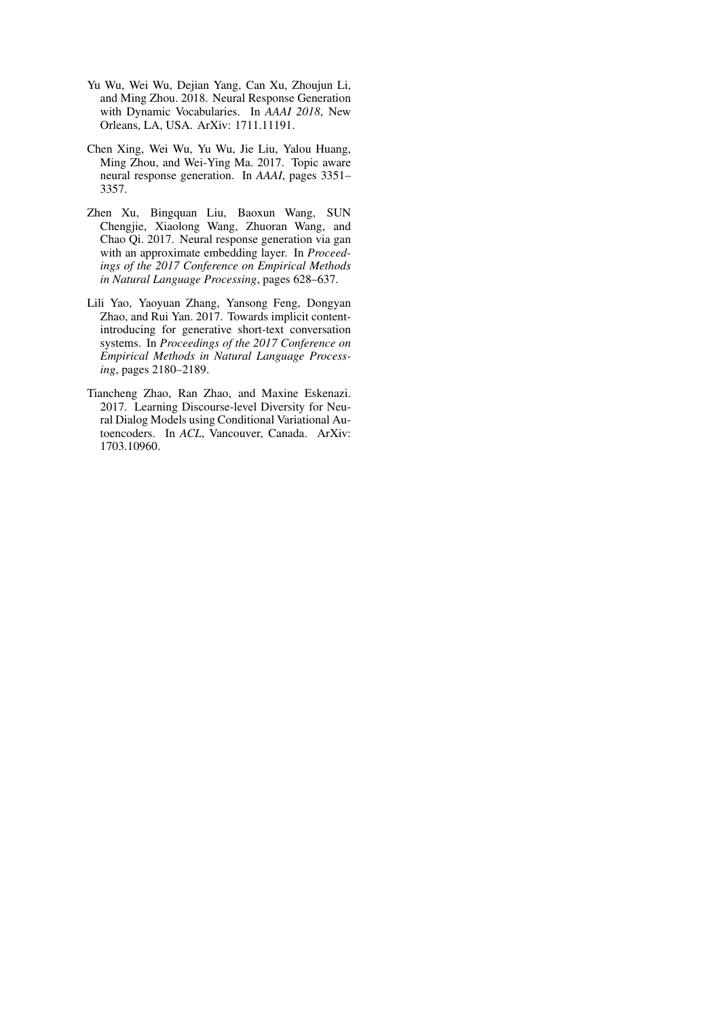- <span id="page-10-4"></span>Yu Wu, Wei Wu, Dejian Yang, Can Xu, Zhoujun Li, and Ming Zhou. 2018. Neural Response Generation with Dynamic Vocabularies. In *AAAI 2018*, New Orleans, LA, USA. ArXiv: 1711.11191.
- <span id="page-10-3"></span>Chen Xing, Wei Wu, Yu Wu, Jie Liu, Yalou Huang, Ming Zhou, and Wei-Ying Ma. 2017. Topic aware neural response generation. In *AAAI*, pages 3351– 3357.
- <span id="page-10-2"></span>Zhen Xu, Bingquan Liu, Baoxun Wang, SUN Chengjie, Xiaolong Wang, Zhuoran Wang, and Chao Qi. 2017. Neural response generation via gan with an approximate embedding layer. In *Proceedings of the 2017 Conference on Empirical Methods in Natural Language Processing*, pages 628–637.
- <span id="page-10-1"></span>Lili Yao, Yaoyuan Zhang, Yansong Feng, Dongyan Zhao, and Rui Yan. 2017. Towards implicit contentintroducing for generative short-text conversation systems. In *Proceedings of the 2017 Conference on Empirical Methods in Natural Language Processing*, pages 2180–2189.
- <span id="page-10-0"></span>Tiancheng Zhao, Ran Zhao, and Maxine Eskenazi. 2017. Learning Discourse-level Diversity for Neural Dialog Models using Conditional Variational Autoencoders. In *ACL*, Vancouver, Canada. ArXiv: 1703.10960.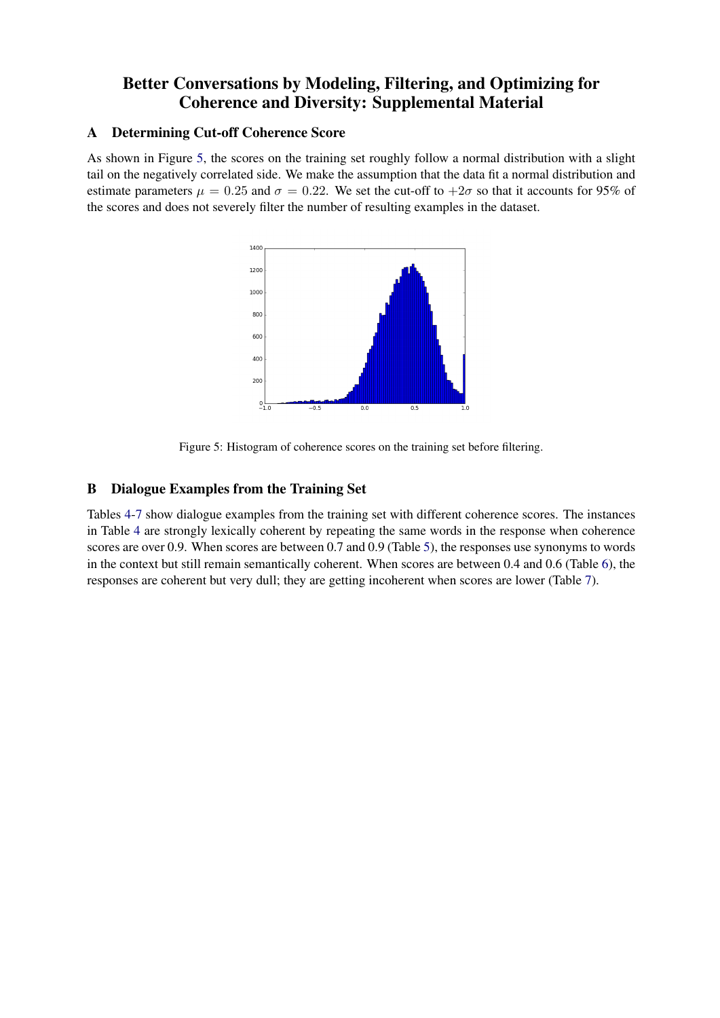# Better Conversations by Modeling, Filtering, and Optimizing for Coherence and Diversity: Supplemental Material

## <span id="page-11-2"></span>A Determining Cut-off Coherence Score

As shown in Figure [5,](#page-11-1) the scores on the training set roughly follow a normal distribution with a slight tail on the negatively correlated side. We make the assumption that the data fit a normal distribution and estimate parameters  $\mu = 0.25$  and  $\sigma = 0.22$ . We set the cut-off to  $+2\sigma$  so that it accounts for 95% of the scores and does not severely filter the number of resulting examples in the dataset.



<span id="page-11-1"></span>Figure 5: Histogram of coherence scores on the training set before filtering.

# <span id="page-11-0"></span>B Dialogue Examples from the Training Set

Tables [4-](#page-12-0)[7](#page-12-1) show dialogue examples from the training set with different coherence scores. The instances in Table [4](#page-12-0) are strongly lexically coherent by repeating the same words in the response when coherence scores are over 0.9. When scores are between 0.7 and 0.9 (Table [5\)](#page-12-2), the responses use synonyms to words in the context but still remain semantically coherent. When scores are between 0.4 and 0.6 (Table [6\)](#page-12-3), the responses are coherent but very dull; they are getting incoherent when scores are lower (Table [7\)](#page-12-1).